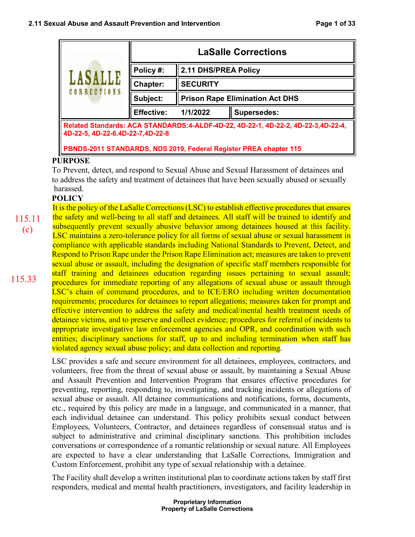| LASALLE<br>CORRECTIONS                                                                                                 | <b>LaSalle Corrections</b> |                                        |                    |  |
|------------------------------------------------------------------------------------------------------------------------|----------------------------|----------------------------------------|--------------------|--|
|                                                                                                                        | Policy#:                   | 2.11 DHS/PREA Policy                   |                    |  |
|                                                                                                                        | Chapter:                   | <b>SECURITY</b>                        |                    |  |
|                                                                                                                        | Subject:                   | <b>Prison Rape Elimination Act DHS</b> |                    |  |
|                                                                                                                        | <b>Effective:</b>          | 1/1/2022                               | <b>Supersedes:</b> |  |
| Related Standards: ACA STANDARDS:4-ALDF-4D-22, 4D-22-1, 4D-22-2, 4D-22-3,4D-22-4,<br>4D-22-5, 4D-22-6.4D-22-7, 4D-22-8 |                            |                                        |                    |  |
| PBNDS-2011 STANDARDS, NDS 2019, Federal Register PREA chapter 115                                                      |                            |                                        |                    |  |

## **PURPOSE**

To Prevent, detect, and respond to Sexual Abuse and Sexual Harassment of detainees and to address the safety and treatment of detainees that have been sexually abused or sexually harassed.

# **POLICY**

It is the policy of the LaSalle Corrections (LSC) to establish effective procedures that ensures the safety and well-being to all staff and detainees. All staff will be trained to identify and subsequently prevent sexually abusive behavior among detainees housed at this facility. LSC maintains a zero-tolerance policy for all forms of sexual abuse or sexual harassment in compliance with applicable standards including National Standards to Prevent, Detect, and Respond to Prison Rape under the Prison Rape Elimination act; measures are taken to prevent sexual abuse or assault, including the designation of specific staff members responsible for staff training and detainees education regarding issues pertaining to sexual assault; procedures for immediate reporting of any allegations of sexual abuse or assault through LSC's chain of command procedures, and to ICE/ERO including written documentation requirements; procedures for detainees to report allegations; measures taken for prompt and effective intervention to address the safety and medical/mental health treatment needs of detainee victims, and to preserve and collect evidence; procedures for referral of incidents to appropriate investigative law enforcement agencies and OPR, and coordination with such entities; disciplinary sanctions for staff, up to and including termination when staff has violated agency sexual abuse policy; and data collection and reporting. 115.11 (c)

> LSC provides a safe and secure environment for all detainees, employees, contractors, and volunteers, free from the threat of sexual abuse or assault, by maintaining a Sexual Abuse and Assault Prevention and Intervention Program that ensures effective procedures for preventing, reporting, responding to, investigating, and tracking incidents or allegations of sexual abuse or assault. All detainee communications and notifications, forms, documents, etc., required by this policy are made in a language, and communicated in a manner, that each individual detainee can understand. This policy prohibits sexual conduct between Employees, Volunteers, Contractor, and detainees regardless of consensual status and is subject to administrative and criminal disciplinary sanctions. This prohibition includes conversations or correspondence of a romantic relationship or sexual nature. All Employees are expected to have a clear understanding that LaSalle Corrections, Immigration and Custom Enforcement, prohibit any type of sexual relationship with a detainee.

> The Facility shall develop a written institutional plan to coordinate actions taken by staff first responders, medical and mental health practitioners, investigators, and facility leadership in

> > **Proprietary Information Property of LaSalle Corrections**

115.33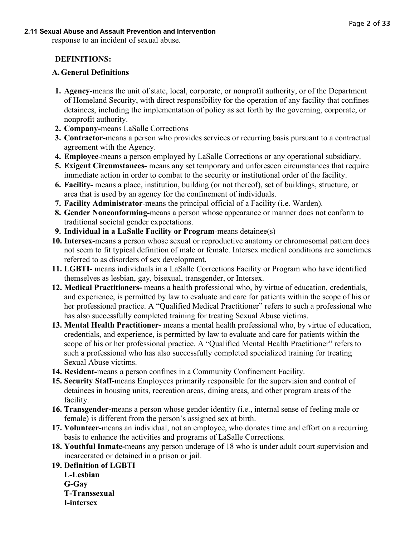response to an incident of sexual abuse.

# **DEFINITIONS:**

### **A.General Definitions**

- **1. Agency-**means the unit of state, local, corporate, or nonprofit authority, or of the Department of Homeland Security, with direct responsibility for the operation of any facility that confines detainees, including the implementation of policy as set forth by the governing, corporate, or nonprofit authority.
- **2. Company-**means LaSalle Corrections
- **3. Contractor-**means a person who provides services or recurring basis pursuant to a contractual agreement with the Agency.
- **4. Employee**-means a person employed by LaSalle Corrections or any operational subsidiary.
- **5. Exigent Circumstances-** means any set temporary and unforeseen circumstances that require immediate action in order to combat to the security or institutional order of the facility.
- **6. Facility-** means a place, institution, building (or not thereof), set of buildings, structure, or area that is used by an agency for the confinement of individuals.
- **7. Facility Administrator**-means the principal official of a Facility (i.e. Warden).
- **8. Gender Nonconforming-**means a person whose appearance or manner does not conform to traditional societal gender expectations.
- **9. Individual in a LaSalle Facility or Program**-means detainee(s)
- **10. Intersex-**means a person whose sexual or reproductive anatomy or chromosomal pattern does not seem to fit typical definition of male or female. Intersex medical conditions are sometimes referred to as disorders of sex development.
- **11. LGBTI-** means individuals in a LaSalle Corrections Facility or Program who have identified themselves as lesbian, gay, bisexual, transgender, or Intersex.
- **12. Medical Practitioners-** means a health professional who, by virtue of education, credentials, and experience, is permitted by law to evaluate and care for patients within the scope of his or her professional practice. A "Qualified Medical Practitioner" refers to such a professional who has also successfully completed training for treating Sexual Abuse victims.
- **13. Mental Health Practitioner-** means a mental health professional who, by virtue of education, credentials, and experience, is permitted by law to evaluate and care for patients within the scope of his or her professional practice. A "Qualified Mental Health Practitioner" refers to such a professional who has also successfully completed specialized training for treating Sexual Abuse victims.
- **14. Resident-**means a person confines in a Community Confinement Facility.
- **15. Security Staff-**means Employees primarily responsible for the supervision and control of detainees in housing units, recreation areas, dining areas, and other program areas of the facility.
- **16. Transgender-**means a person whose gender identity (i.e., internal sense of feeling male or female) is different from the person's assigned sex at birth.
- **17. Volunteer-**means an individual, not an employee, who donates time and effort on a recurring basis to enhance the activities and programs of LaSalle Corrections.
- **18. Youthful Inmate-**means any person underage of 18 who is under adult court supervision and incarcerated or detained in a prison or jail.
- **19. Definition of LGBTI**
	- **L-Lesbian G-Gay T-Transsexual I-intersex**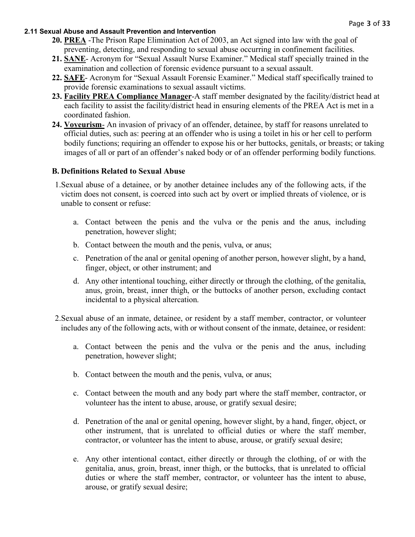- **20. PREA** -The Prison Rape Elimination Act of 2003, an Act signed into law with the goal of preventing, detecting, and responding to sexual abuse occurring in confinement facilities.
- **21. SANE** Acronym for "Sexual Assault Nurse Examiner." Medical staff specially trained in the examination and collection of forensic evidence pursuant to a sexual assault.
- **22. SAFE** Acronym for "Sexual Assault Forensic Examiner." Medical staff specifically trained to provide forensic examinations to sexual assault victims.
- **23. Facility PREA Compliance Manager**-A staff member designated by the facility/district head at each facility to assist the facility/district head in ensuring elements of the PREA Act is met in a coordinated fashion.
- **24. Voyeurism** An invasion of privacy of an offender, detainee, by staff for reasons unrelated to official duties, such as: peering at an offender who is using a toilet in his or her cell to perform bodily functions; requiring an offender to expose his or her buttocks, genitals, or breasts; or taking images of all or part of an offender's naked body or of an offender performing bodily functions.

### **B. Definitions Related to Sexual Abuse**

- 1.Sexual abuse of a detainee, or by another detainee includes any of the following acts, if the victim does not consent, is coerced into such act by overt or implied threats of violence, or is unable to consent or refuse:
	- a. Contact between the penis and the vulva or the penis and the anus, including penetration, however slight;
	- b. Contact between the mouth and the penis, vulva, or anus;
	- c. Penetration of the anal or genital opening of another person, however slight, by a hand, finger, object, or other instrument; and
	- d. Any other intentional touching, either directly or through the clothing, of the genitalia, anus, groin, breast, inner thigh, or the buttocks of another person, excluding contact incidental to a physical altercation.
- 2.Sexual abuse of an inmate, detainee, or resident by a staff member, contractor, or volunteer includes any of the following acts, with or without consent of the inmate, detainee, or resident:
	- a. Contact between the penis and the vulva or the penis and the anus, including penetration, however slight;
	- b. Contact between the mouth and the penis, vulva, or anus;
	- c. Contact between the mouth and any body part where the staff member, contractor, or volunteer has the intent to abuse, arouse, or gratify sexual desire;
	- d. Penetration of the anal or genital opening, however slight, by a hand, finger, object, or other instrument, that is unrelated to official duties or where the staff member, contractor, or volunteer has the intent to abuse, arouse, or gratify sexual desire;
	- e. Any other intentional contact, either directly or through the clothing, of or with the genitalia, anus, groin, breast, inner thigh, or the buttocks, that is unrelated to official duties or where the staff member, contractor, or volunteer has the intent to abuse, arouse, or gratify sexual desire;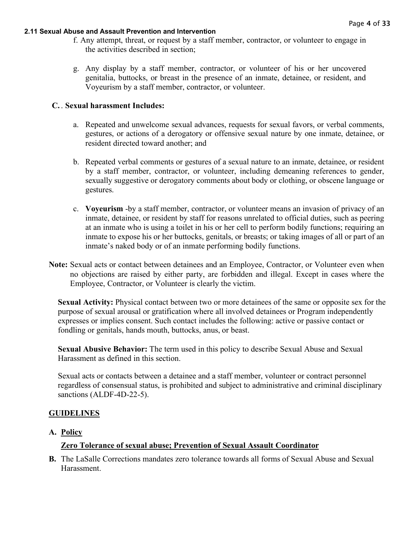- f. Any attempt, threat, or request by a staff member, contractor, or volunteer to engage in the activities described in section;
- g. Any display by a staff member, contractor, or volunteer of his or her uncovered genitalia, buttocks, or breast in the presence of an inmate, detainee, or resident, and Voyeurism by a staff member, contractor, or volunteer.

### **C.** . **Sexual harassment Includes:**

- a. Repeated and unwelcome sexual advances, requests for sexual favors, or verbal comments, gestures, or actions of a derogatory or offensive sexual nature by one inmate, detainee, or resident directed toward another; and
- b. Repeated verbal comments or gestures of a sexual nature to an inmate, detainee, or resident by a staff member, contractor, or volunteer, including demeaning references to gender, sexually suggestive or derogatory comments about body or clothing, or obscene language or gestures.
- c. **Voyeurism** -by a staff member, contractor, or volunteer means an invasion of privacy of an inmate, detainee, or resident by staff for reasons unrelated to official duties, such as peering at an inmate who is using a toilet in his or her cell to perform bodily functions; requiring an inmate to expose his or her buttocks, genitals, or breasts; or taking images of all or part of an inmate's naked body or of an inmate performing bodily functions.
- **Note:** Sexual acts or contact between detainees and an Employee, Contractor, or Volunteer even when no objections are raised by either party, are forbidden and illegal. Except in cases where the Employee, Contractor, or Volunteer is clearly the victim.

**Sexual Activity:** Physical contact between two or more detainees of the same or opposite sex for the purpose of sexual arousal or gratification where all involved detainees or Program independently expresses or implies consent. Such contact includes the following: active or passive contact or fondling or genitals, hands mouth, buttocks, anus, or beast.

**Sexual Abusive Behavior:** The term used in this policy to describe Sexual Abuse and Sexual Harassment as defined in this section.

Sexual acts or contacts between a detainee and a staff member, volunteer or contract personnel regardless of consensual status, is prohibited and subject to administrative and criminal disciplinary sanctions (ALDF-4D-22-5).

### **GUIDELINES**

#### **A. Policy**

### **Zero Tolerance of sexual abuse; Prevention of Sexual Assault Coordinator**

**B.** The LaSalle Corrections mandates zero tolerance towards all forms of Sexual Abuse and Sexual Harassment.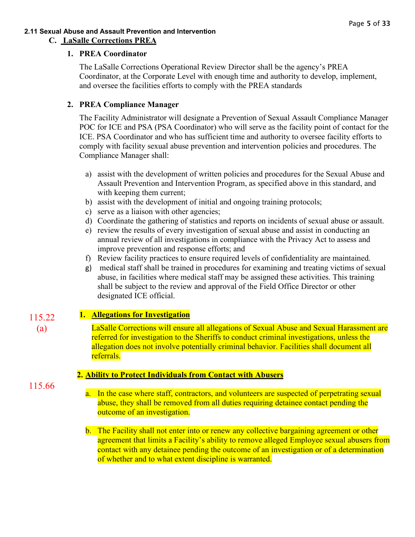### **2.11 Sexual Abuse and Assault Prevention and Intervention C. LaSalle Corrections PREA**

# **1. PREA Coordinator**

The LaSalle Corrections Operational Review Director shall be the agency's PREA Coordinator, at the Corporate Level with enough time and authority to develop, implement, and oversee the facilities efforts to comply with the PREA standards

# **2. PREA Compliance Manager**

The Facility Administrator will designate a Prevention of Sexual Assault Compliance Manager POC for ICE and PSA (PSA Coordinator) who will serve as the facility point of contact for the ICE. PSA Coordinator and who has sufficient time and authority to oversee facility efforts to comply with facility sexual abuse prevention and intervention policies and procedures. The Compliance Manager shall:

- a) assist with the development of written policies and procedures for the Sexual Abuse and Assault Prevention and Intervention Program, as specified above in this standard, and with keeping them current;
- b) assist with the development of initial and ongoing training protocols;
- c) serve as a liaison with other agencies;
- d) Coordinate the gathering of statistics and reports on incidents of sexual abuse or assault.
- e) review the results of every investigation of sexual abuse and assist in conducting an annual review of all investigations in compliance with the Privacy Act to assess and improve prevention and response efforts; and
- f) Review facility practices to ensure required levels of confidentiality are maintained.
- g) medical staff shall be trained in procedures for examining and treating victims of sexual abuse, in facilities where medical staff may be assigned these activities. This training shall be subject to the review and approval of the Field Office Director or other designated ICE official.

#### **1. Allegations for Investigation**  115.22

LaSalle Corrections will ensure all allegations of Sexual Abuse and Sexual Harassment are referred for investigation to the Sheriffs to conduct criminal investigations, unless the allegation does not involve potentially criminal behavior. Facilities shall document all referrals.

# **2. Ability to Protect Individuals from Contact with Abusers**

115.66

(a)

a. In the case where staff, contractors, and volunteers are suspected of perpetrating sexual abuse, they shall be removed from all duties requiring detainee contact pending the outcome of an investigation.

b. The Facility shall not enter into or renew any collective bargaining agreement or other agreement that limits a Facility's ability to remove alleged Employee sexual abusers from contact with any detainee pending the outcome of an investigation or of a determination of whether and to what extent discipline is warranted.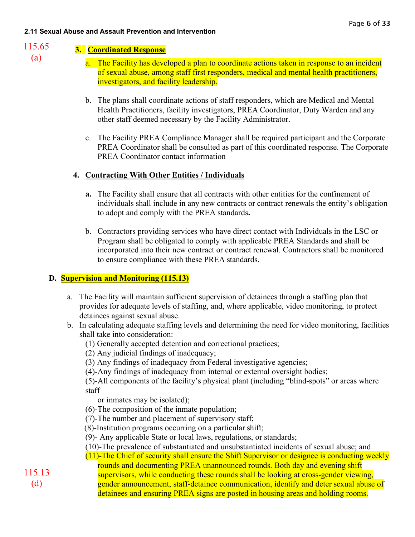115.65 (a)

# **3. Coordinated Response**

- a. The Facility has developed a plan to coordinate actions taken in response to an incident of sexual abuse, among staff first responders, medical and mental health practitioners, investigators, and facility leadership.
- b. The plans shall coordinate actions of staff responders, which are Medical and Mental Health Practitioners, facility investigators, PREA Coordinator, Duty Warden and any other staff deemed necessary by the Facility Administrator.
- c. The Facility PREA Compliance Manager shall be required participant and the Corporate PREA Coordinator shall be consulted as part of this coordinated response. The Corporate PREA Coordinator contact information

# **4. Contracting With Other Entities / Individuals**

- **a.** The Facility shall ensure that all contracts with other entities for the confinement of individuals shall include in any new contracts or contract renewals the entity's obligation to adopt and comply with the PREA standards**.**
- b. Contractors providing services who have direct contact with Individuals in the LSC or Program shall be obligated to comply with applicable PREA Standards and shall be incorporated into their new contract or contract renewal. Contractors shall be monitored to ensure compliance with these PREA standards.

# **D. Supervision and Monitoring (115.13)**

- a. The Facility will maintain sufficient supervision of detainees through a staffing plan that provides for adequate levels of staffing, and, where applicable, video monitoring, to protect detainees against sexual abuse.
- b. In calculating adequate staffing levels and determining the need for video monitoring, facilities shall take into consideration:
	- (1) Generally accepted detention and correctional practices;
	- (2) Any judicial findings of inadequacy;
	- (3) Any findings of inadequacy from Federal investigative agencies;

(4)-Any findings of inadequacy from internal or external oversight bodies;

(5)-All components of the facility's physical plant (including "blind-spots" or areas where staff

or inmates may be isolated);

- (6)-The composition of the inmate population;
- (7)-The number and placement of supervisory staff;
- (8)-Institution programs occurring on a particular shift;
- (9)- Any applicable State or local laws, regulations, or standards;
- (10)-The prevalence of substantiated and unsubstantiated incidents of sexual abuse; and
- (11)-The Chief of security shall ensure the Shift Supervisor or designee is conducting weekly

rounds and documenting PREA unannounced rounds. Both day and evening shift supervisors, while conducting these rounds shall be looking at cross-gender viewing, gender announcement, staff-detainee communication, identify and deter sexual abuse of

detainees and ensuring PREA signs are posted in housing areas and holding rooms.

115.13 (d)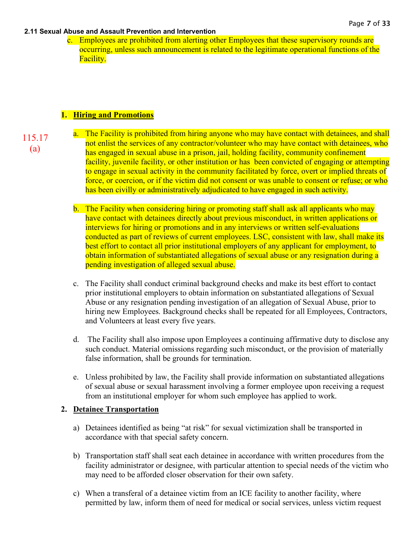c. Employees are prohibited from alerting other Employees that these supervisory rounds are occurring, unless such announcement is related to the legitimate operational functions of the Facility.

### **1. Hiring and Promotions**

- 115.17 (a)
- a. The Facility is prohibited from hiring anyone who may have contact with detainees, and shall not enlist the services of any contractor/volunteer who may have contact with detainees, who has engaged in sexual abuse in a prison, jail, holding facility, community confinement facility, juvenile facility, or other institution or has been convicted of engaging or attempting to engage in sexual activity in the community facilitated by force, overt or implied threats of force, or coercion, or if the victim did not consent or was unable to consent or refuse; or who has been civilly or administratively adjudicated to have engaged in such activity.
- b. The Facility when considering hiring or promoting staff shall ask all applicants who may have contact with detainees directly about previous misconduct, in written applications or interviews for hiring or promotions and in any interviews or written self-evaluations conducted as part of reviews of current employees. LSC, consistent with law, shall make its best effort to contact all prior institutional employers of any applicant for employment, to obtain information of substantiated allegations of sexual abuse or any resignation during a pending investigation of alleged sexual abuse.
- c. The Facility shall conduct criminal background checks and make its best effort to contact prior institutional employers to obtain information on substantiated allegations of Sexual Abuse or any resignation pending investigation of an allegation of Sexual Abuse, prior to hiring new Employees. Background checks shall be repeated for all Employees, Contractors, and Volunteers at least every five years.
- d. The Facility shall also impose upon Employees a continuing affirmative duty to disclose any such conduct. Material omissions regarding such misconduct, or the provision of materially false information, shall be grounds for termination.
- e. Unless prohibited by law, the Facility shall provide information on substantiated allegations of sexual abuse or sexual harassment involving a former employee upon receiving a request from an institutional employer for whom such employee has applied to work.

### **2. Detainee Transportation**

- a) Detainees identified as being "at risk" for sexual victimization shall be transported in accordance with that special safety concern.
- b) Transportation staff shall seat each detainee in accordance with written procedures from the facility administrator or designee, with particular attention to special needs of the victim who may need to be afforded closer observation for their own safety.
- c) When a transferal of a detainee victim from an ICE facility to another facility, where permitted by law, inform them of need for medical or social services, unless victim request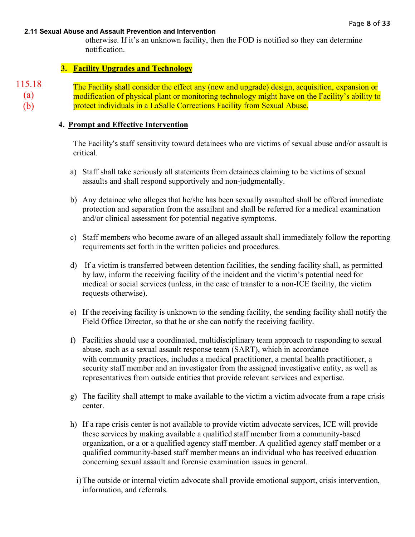otherwise. If it's an unknown facility, then the FOD is notified so they can determine notification.

### **3. Facility Upgrades and Technology**

```
115.18
```
(a) (b)

The Facility shall consider the effect any (new and upgrade) design, acquisition, expansion or modification of physical plant or monitoring technology might have on the Facility's ability to protect individuals in a LaSalle Corrections Facility from Sexual Abuse.

### **4. Prompt and Effective Intervention**

The Facility's staff sensitivity toward detainees who are victims of sexual abuse and/or assault is critical.

- a) Staff shall take seriously all statements from detainees claiming to be victims of sexual assaults and shall respond supportively and non-judgmentally.
- b) Any detainee who alleges that he/she has been sexually assaulted shall be offered immediate protection and separation from the assailant and shall be referred for a medical examination and/or clinical assessment for potential negative symptoms.
- c) Staff members who become aware of an alleged assault shall immediately follow the reporting requirements set forth in the written policies and procedures.
- d) If a victim is transferred between detention facilities, the sending facility shall, as permitted by law, inform the receiving facility of the incident and the victim's potential need for medical or social services (unless, in the case of transfer to a non-ICE facility, the victim requests otherwise).
- e) If the receiving facility is unknown to the sending facility, the sending facility shall notify the Field Office Director, so that he or she can notify the receiving facility.
- f) Facilities should use a coordinated, multidisciplinary team approach to responding to sexual abuse, such as a sexual assault response team (SART), which in accordance with community practices, includes a medical practitioner, a mental health practitioner, a security staff member and an investigator from the assigned investigative entity, as well as representatives from outside entities that provide relevant services and expertise.
- g) The facility shall attempt to make available to the victim a victim advocate from a rape crisis center.
- h) If a rape crisis center is not available to provide victim advocate services, ICE will provide these services by making available a qualified staff member from a community-based organization, or a or a qualified agency staff member. A qualified agency staff member or a qualified community-based staff member means an individual who has received education concerning sexual assault and forensic examination issues in general.
	- i)The outside or internal victim advocate shall provide emotional support, crisis intervention, information, and referrals.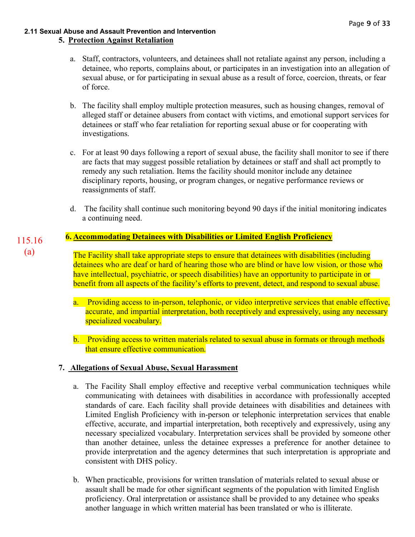### **2.11 Sexual Abuse and Assault Prevention and Intervention 5. Protection Against Retaliation**

- a. Staff, contractors, volunteers, and detainees shall not retaliate against any person, including a detainee, who reports, complains about, or participates in an investigation into an allegation of sexual abuse, or for participating in sexual abuse as a result of force, coercion, threats, or fear of force.
- b. The facility shall employ multiple protection measures, such as housing changes, removal of alleged staff or detainee abusers from contact with victims, and emotional support services for detainees or staff who fear retaliation for reporting sexual abuse or for cooperating with investigations.
- c. For at least 90 days following a report of sexual abuse, the facility shall monitor to see if there are facts that may suggest possible retaliation by detainees or staff and shall act promptly to remedy any such retaliation. Items the facility should monitor include any detainee disciplinary reports, housing, or program changes, or negative performance reviews or reassignments of staff.
- d. The facility shall continue such monitoring beyond 90 days if the initial monitoring indicates a continuing need.

#### **6. Accommodating Detainees with Disabilities or Limited English Proficiency** 115.16

(a)

The Facility shall take appropriate steps to ensure that detainees with disabilities (including detainees who are deaf or hard of hearing those who are blind or have low vision, or those who have intellectual, psychiatric, or speech disabilities) have an opportunity to participate in or benefit from all aspects of the facility's efforts to prevent, detect, and respond to sexual abuse.

- a. Providing access to in-person, telephonic, or video interpretive services that enable effective, accurate, and impartial interpretation, both receptively and expressively, using any necessary specialized vocabulary.
- b. Providing access to written materials related to sexual abuse in formats or through methods that ensure effective communication.

# **7. Allegations of Sexual Abuse, Sexual Harassment**

- a. The Facility Shall employ effective and receptive verbal communication techniques while communicating with detainees with disabilities in accordance with professionally accepted standards of care. Each facility shall provide detainees with disabilities and detainees with Limited English Proficiency with in-person or telephonic interpretation services that enable effective, accurate, and impartial interpretation, both receptively and expressively, using any necessary specialized vocabulary. Interpretation services shall be provided by someone other than another detainee, unless the detainee expresses a preference for another detainee to provide interpretation and the agency determines that such interpretation is appropriate and consistent with DHS policy.
- b. When practicable, provisions for written translation of materials related to sexual abuse or assault shall be made for other significant segments of the population with limited English proficiency. Oral interpretation or assistance shall be provided to any detainee who speaks another language in which written material has been translated or who is illiterate.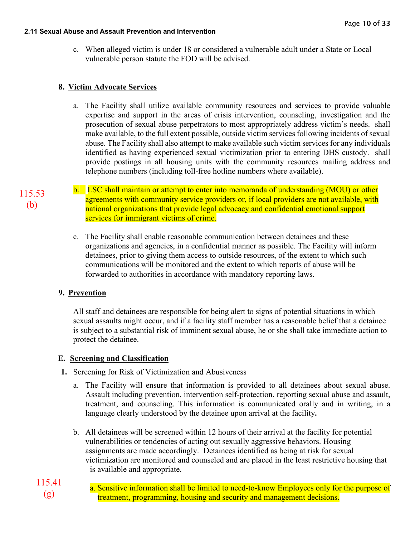c. When alleged victim is under 18 or considered a vulnerable adult under a State or Local vulnerable person statute the FOD will be advised.

# **8. Victim Advocate Services**

- a. The Facility shall utilize available community resources and services to provide valuable expertise and support in the areas of crisis intervention, counseling, investigation and the prosecution of sexual abuse perpetrators to most appropriately address victim's needs. shall make available, to the full extent possible, outside victim services following incidents of sexual abuse. The Facility shall also attempt to make available such victim services for any individuals identified as having experienced sexual victimization prior to entering DHS custody. shall provide postings in all housing units with the community resources mailing address and telephone numbers (including toll-free hotline numbers where available).
- b. LSC shall maintain or attempt to enter into memoranda of understanding (MOU) or other agreements with community service providers or, if local providers are not available, with national organizations that provide legal advocacy and confidential emotional support services for immigrant victims of crime.
	- c. The Facility shall enable reasonable communication between detainees and these organizations and agencies, in a confidential manner as possible. The Facility will inform detainees, prior to giving them access to outside resources, of the extent to which such communications will be monitored and the extent to which reports of abuse will be forwarded to authorities in accordance with mandatory reporting laws.

# **9. Prevention**

All staff and detainees are responsible for being alert to signs of potential situations in which sexual assaults might occur, and if a facility staff member has a reasonable belief that a detainee is subject to a substantial risk of imminent sexual abuse, he or she shall take immediate action to protect the detainee.

# **E. Screening and Classification**

- **1.** Screening for Risk of Victimization and Abusiveness
	- a. The Facility will ensure that information is provided to all detainees about sexual abuse. Assault including prevention, intervention self-protection, reporting sexual abuse and assault, treatment, and counseling. This information is communicated orally and in writing, in a language clearly understood by the detainee upon arrival at the facility**.**
	- b. All detainees will be screened within 12 hours of their arrival at the facility for potential vulnerabilities or tendencies of acting out sexually aggressive behaviors. Housing assignments are made accordingly. Detainees identified as being at risk for sexual victimization are monitored and counseled and are placed in the least restrictive housing that is available and appropriate.
- a. Sensitive information shall be limited to need-to-know Employees only for the purpose of treatment, programming, housing and security and management decisions. 115.41 (g)

115.53 (b)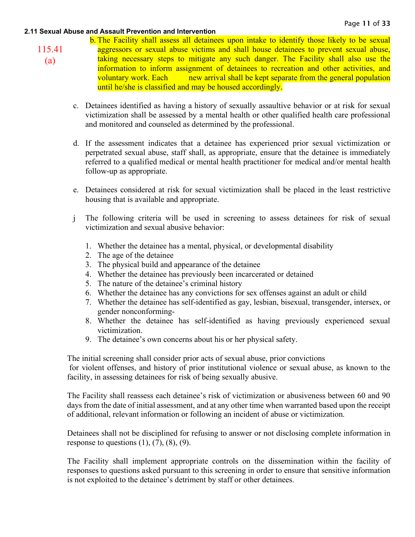115.41

(a)

b. The Facility shall assess all detainees upon intake to identify those likely to be sexual aggressors or sexual abuse victims and shall house detainees to prevent sexual abuse, taking necessary steps to mitigate any such danger. The Facility shall also use the information to inform assignment of detainees to recreation and other activities, and voluntary work. Each new arrival shall be kept separate from the general population until he/she is classified and may be housed accordingly.

- c. Detainees identified as having a history of sexually assaultive behavior or at risk for sexual victimization shall be assessed by a mental health or other qualified health care professional and monitored and counseled as determined by the professional.
- d. If the assessment indicates that a detainee has experienced prior sexual victimization or perpetrated sexual abuse, staff shall, as appropriate, ensure that the detainee is immediately referred to a qualified medical or mental health practitioner for medical and/or mental health follow-up as appropriate.
- e. Detainees considered at risk for sexual victimization shall be placed in the least restrictive housing that is available and appropriate.
- j The following criteria will be used in screening to assess detainees for risk of sexual victimization and sexual abusive behavior:
	- 1. Whether the detainee has a mental, physical, or developmental disability
	- 2. The age of the detainee
	- 3. The physical build and appearance of the detainee
	- 4. Whether the detainee has previously been incarcerated or detained
	- 5. The nature of the detainee's criminal history
	- 6. Whether the detainee has any convictions for sex offenses against an adult or child
	- 7. Whether the detainee has self-identified as gay, lesbian, bisexual, transgender, intersex, or gender nonconforming-
	- 8. Whether the detainee has self-identified as having previously experienced sexual victimization.
	- 9. The detainee's own concerns about his or her physical safety.

The initial screening shall consider prior acts of sexual abuse, prior convictions for violent offenses, and history of prior institutional violence or sexual abuse, as known to the

facility, in assessing detainees for risk of being sexually abusive.

The Facility shall reassess each detainee's risk of victimization or abusiveness between 60 and 90 days from the date of initial assessment, and at any other time when warranted based upon the receipt of additional, relevant information or following an incident of abuse or victimization.

Detainees shall not be disciplined for refusing to answer or not disclosing complete information in response to questions  $(1)$ ,  $(7)$ ,  $(8)$ ,  $(9)$ .

The Facility shall implement appropriate controls on the dissemination within the facility of responses to questions asked pursuant to this screening in order to ensure that sensitive information is not exploited to the detainee's detriment by staff or other detainees.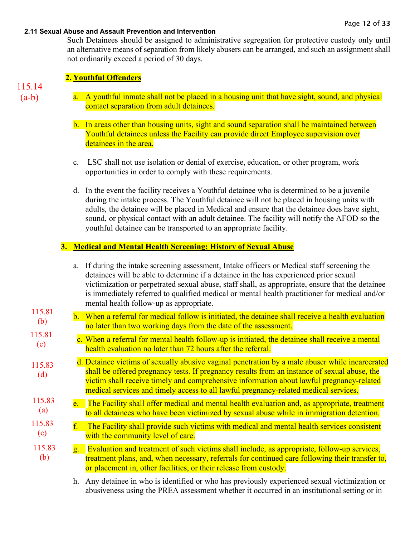Such Detainees should be assigned to administrative segregation for protective custody only until an alternative means of separation from likely abusers can be arranged, and such an assignment shall not ordinarily exceed a period of 30 days.

### **2. Youthful Offenders**

115.14  $(a-b)$ 

- a. A youthful inmate shall not be placed in a housing unit that have sight, sound, and physical contact separation from adult detainees.
- b. In areas other than housing units, sight and sound separation shall be maintained between Youthful detainees unless the Facility can provide direct Employee supervision over detainees in the area.
- c. LSC shall not use isolation or denial of exercise, education, or other program, work opportunities in order to comply with these requirements.
- d. In the event the facility receives a Youthful detainee who is determined to be a juvenile during the intake process. The Youthful detainee will not be placed in housing units with adults, the detainee will be placed in Medical and ensure that the detainee does have sight, sound, or physical contact with an adult detainee. The facility will notify the AFOD so the youthful detainee can be transported to an appropriate facility.

# **3. Medical and Mental Health Screening; History of Sexual Abuse**

|               |                | a. If during the intake screening assessment, Intake officers or Medical staff screening the<br>detainees will be able to determine if a detainee in the has experienced prior sexual<br>victimization or perpetrated sexual abuse, staff shall, as appropriate, ensure that the detainee<br>is immediately referred to qualified medical or mental health practitioner for medical and/or<br>mental health follow-up as appropriate. |
|---------------|----------------|---------------------------------------------------------------------------------------------------------------------------------------------------------------------------------------------------------------------------------------------------------------------------------------------------------------------------------------------------------------------------------------------------------------------------------------|
| 115.81<br>(b) |                | b. When a referral for medical follow is initiated, the detainee shall receive a health evaluation<br>no later than two working days from the date of the assessment.                                                                                                                                                                                                                                                                 |
| 115.81<br>(c) |                | c. When a referral for mental health follow-up is initiated, the detainee shall receive a mental<br>health evaluation no later than 72 hours after the referral.                                                                                                                                                                                                                                                                      |
| 115.83<br>(d) |                | d. Detainee victims of sexually abusive vaginal penetration by a male abuser while incarcerated<br>shall be offered pregnancy tests. If pregnancy results from an instance of sexual abuse, the<br>victim shall receive timely and comprehensive information about lawful pregnancy-related<br>medical services and timely access to all lawful pregnancy-related medical services.                                                   |
| 115.83<br>(a) |                | e. The Facility shall offer medical and mental health evaluation and, as appropriate, treatment<br>to all detainees who have been victimized by sexual abuse while in immigration detention.                                                                                                                                                                                                                                          |
| 115.83<br>(c) | ${\rm f.}$ .   | The Facility shall provide such victims with medical and mental health services consistent<br>with the community level of care.                                                                                                                                                                                                                                                                                                       |
| 115.83<br>(b) | $\mathbf{g}$ . | Evaluation and treatment of such victims shall include, as appropriate, follow-up services,<br>treatment plans, and, when necessary, referrals for continued care following their transfer to,<br>or placement in, other facilities, or their release from custody.                                                                                                                                                                   |
|               |                | h. Any detainee in who is identified or who has previously experienced sexual victimization or                                                                                                                                                                                                                                                                                                                                        |

h. Any detainee in who is identified or who has previously experienced sexual victimization or abusiveness using the PREA assessment whether it occurred in an institutional setting or in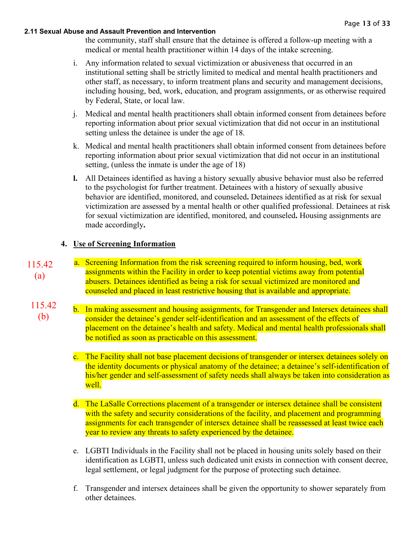the community, staff shall ensure that the detainee is offered a follow-up meeting with a medical or mental health practitioner within 14 days of the intake screening.

- i. Any information related to sexual victimization or abusiveness that occurred in an institutional setting shall be strictly limited to medical and mental health practitioners and other staff, as necessary, to inform treatment plans and security and management decisions, including housing, bed, work, education, and program assignments, or as otherwise required by Federal, State, or local law.
- j. Medical and mental health practitioners shall obtain informed consent from detainees before reporting information about prior sexual victimization that did not occur in an institutional setting unless the detainee is under the age of 18.
- k. Medical and mental health practitioners shall obtain informed consent from detainees before reporting information about prior sexual victimization that did not occur in an institutional setting, (unless the inmate is under the age of 18)
- **l.** All Detainees identified as having a history sexually abusive behavior must also be referred to the psychologist for further treatment. Detainees with a history of sexually abusive behavior are identified, monitored, and counseled**.** Detainees identified as at risk for sexual victimization are assessed by a mental health or other qualified professional. Detainees at risk for sexual victimization are identified, monitored, and counseled**.** Housing assignments are made accordingly**.**

## **4. Use of Screening Information**

- a. Screening Information from the risk screening required to inform housing, bed, work assignments within the Facility in order to keep potential victims away from potential abusers. Detainees identified as being a risk for sexual victimized are monitored and counseled and placed in least restrictive housing that is available and appropriate. 115.42 (a)
	- b. In making assessment and housing assignments, for Transgender and Intersex detainees shall consider the detainee's gender self-identification and an assessment of the effects of placement on the detainee's health and safety. Medical and mental health professionals shall be notified as soon as practicable on this assessment. 115.42 (b)
		- c. The Facility shall not base placement decisions of transgender or intersex detainees solely on the identity documents or physical anatomy of the detainee; a detainee's self-identification of his/her gender and self-assessment of safety needs shall always be taken into consideration as well.
		- d. The LaSalle Corrections placement of a transgender or intersex detainee shall be consistent with the safety and security considerations of the facility, and placement and programming assignments for each transgender of intersex detainee shall be reassessed at least twice each year to review any threats to safety experienced by the detainee.
		- e. LGBTI Individuals in the Facility shall not be placed in housing units solely based on their identification as LGBTI, unless such dedicated unit exists in connection with consent decree, legal settlement, or legal judgment for the purpose of protecting such detainee.
		- f. Transgender and intersex detainees shall be given the opportunity to shower separately from other detainees.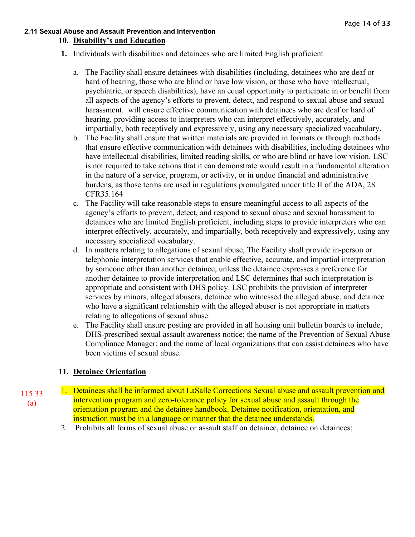### **2.11 Sexual Abuse and Assault Prevention and Intervention 10. Disability's and Education**

- **1.** Individuals with [disabilities and detainees who are limited English proficient](https://www.prearesourcecenter.org/ec-item/1176/11516-inmates-with-disabilities-and-inmates-who-are-limited-english-proficient)
	- a. The Facility shall ensure detainees with disabilities (including, detainees who are deaf or hard of hearing, those who are blind or have low vision, or those who have intellectual, psychiatric, or speech disabilities), have an equal opportunity to participate in or benefit from all aspects of the agency's efforts to prevent, detect, and respond to sexual abuse and sexual harassment. will ensure effective communication with detainees who are deaf or hard of hearing, providing access to interpreters who can interpret effectively, accurately, and impartially, both receptively and expressively, using any necessary specialized vocabulary.
	- b. The Facility shall ensure that written materials are provided in formats or through methods that ensure effective communication with detainees with disabilities, including detainees who have intellectual disabilities, limited reading skills, or who are blind or have low vision. LSC is not required to take actions that it can demonstrate would result in a fundamental alteration in the nature of a service, program, or activity, or in undue financial and administrative burdens, as those terms are used in regulations promulgated under title II of the ADA, 28 CFR35.164
	- c. The Facility will take reasonable steps to ensure meaningful access to all aspects of the agency's efforts to prevent, detect, and respond to sexual abuse and sexual harassment to detainees who are limited English proficient, including steps to provide interpreters who can interpret effectively, accurately, and impartially, both receptively and expressively, using any necessary specialized vocabulary.
	- d. In matters relating to allegations of sexual abuse, The Facility shall provide in-person or telephonic interpretation services that enable effective, accurate, and impartial interpretation by someone other than another detainee, unless the detainee expresses a preference for another detainee to provide interpretation and LSC determines that such interpretation is appropriate and consistent with DHS policy. LSC prohibits the provision of interpreter services by minors, alleged abusers, detainee who witnessed the alleged abuse, and detainee who have a significant relationship with the alleged abuser is not appropriate in matters relating to allegations of sexual abuse.
	- e. The Facility shall ensure posting are provided in all housing unit bulletin boards to include, DHS-prescribed sexual assault awareness notice; the name of the Prevention of Sexual Abuse Compliance Manager; and the name of local organizations that can assist detainees who have been victims of sexual abuse.

# **11. Detainee Orientation**

- 1. Detainees shall be informed about LaSalle Corrections Sexual abuse and assault prevention and intervention program and zero-tolerance policy for sexual abuse and assault through the orientation program and the detainee handbook. Detainee notification, orientation, and instruction must be in a language or manner that the detainee understands.
	- 2. Prohibits all forms of sexual abuse or assault staff on detainee, detainee on detainees;

115.33 (a)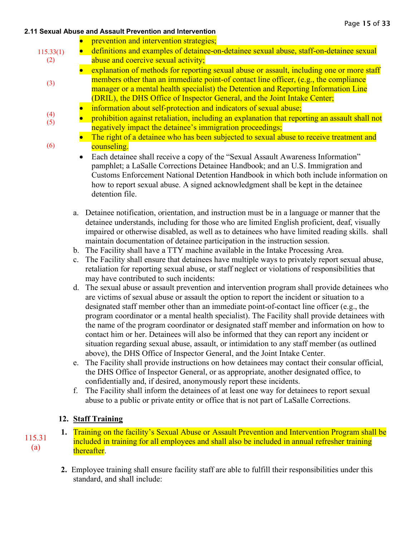(3)

(6)

- prevention and intervention strategies;
- definitions and examples of detainee-on-detainee sexual abuse, staff-on-detainee sexual abuse and coercive sexual activity; 115.33(1) (2)
	- explanation of methods for reporting sexual abuse or assault, including one or more staff members other than an immediate point-of contact line officer, (e.g., the compliance manager or a mental health specialist) the Detention and Reporting Information Line (DRIL), the DHS Office of Inspector General, and the Joint Intake Center;
	- information about self-protection and indicators of sexual abuse;
	- prohibition against retaliation, including an explanation that reporting an assault shall not negatively impact the detainee's immigration proceedings; (4) (5)
		- The right of a detainee who has been subjected to sexual abuse to receive treatment and counseling.
			- Each detainee shall receive a copy of the "Sexual Assault Awareness Information" pamphlet; a LaSalle Corrections Detainee Handbook; and an U.S. Immigration and Customs Enforcement National Detention Handbook in which both include information on how to report sexual abuse. A signed acknowledgment shall be kept in the detainee detention file.
		- a. Detainee notification, orientation, and instruction must be in a language or manner that the detainee understands, including for those who are limited English proficient, deaf, visually impaired or otherwise disabled, as well as to detainees who have limited reading skills. shall maintain documentation of detainee participation in the instruction session.
		- b. The Facility shall have a TTY machine available in the Intake Processing Area.
		- c. The Facility shall ensure that detainees have multiple ways to privately report sexual abuse, retaliation for reporting sexual abuse, or staff neglect or violations of responsibilities that may have contributed to such incidents:
		- d. The sexual abuse or assault prevention and intervention program shall provide detainees who are victims of sexual abuse or assault the option to report the incident or situation to a designated staff member other than an immediate point-of-contact line officer (e.g., the program coordinator or a mental health specialist). The Facility shall provide detainees with the name of the program coordinator or designated staff member and information on how to contact him or her. Detainees will also be informed that they can report any incident or situation regarding sexual abuse, assault, or intimidation to any staff member (as outlined above), the DHS Office of Inspector General, and the Joint Intake Center.
		- e. The Facility shall provide instructions on how detainees may contact their consular official, the DHS Office of Inspector General, or as appropriate, another designated office, to confidentially and, if desired, anonymously report these incidents.
		- f. The Facility shall inform the detainees of at least one way for detainees to report sexual abuse to a public or private entity or office that is not part of LaSalle Corrections.

# **12. Staff Training**

- **1.** Training on the facility's Sexual Abuse or Assault Prevention and Intervention Program shall be included in training for all employees and shall also be included in annual refresher training thereafter.
	- **2.** Employee training shall ensure facility staff are able to fulfill their responsibilities under this standard, and shall include:

115.31 (a)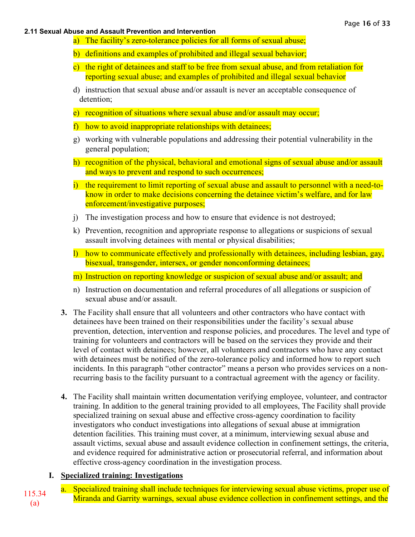- a) The facility's zero-tolerance policies for all forms of sexual abuse;
- b) definitions and examples of prohibited and illegal sexual behavior;
- c) the right of detainees and staff to be free from sexual abuse, and from retaliation for reporting sexual abuse; and examples of prohibited and illegal sexual behavior
- d) instruction that sexual abuse and/or assault is never an acceptable consequence of detention;
- e) recognition of situations where sexual abuse and/or assault may occur;
- f) how to avoid inappropriate relationships with detainees;
- g) working with vulnerable populations and addressing their potential vulnerability in the general population;
- h) recognition of the physical, behavioral and emotional signs of sexual abuse and/or assault and ways to prevent and respond to such occurrences;
- i) the requirement to limit reporting of sexual abuse and assault to personnel with a need-toknow in order to make decisions concerning the detainee victim's welfare, and for law enforcement/investigative purposes;
- j) The investigation process and how to ensure that evidence is not destroyed;
- k) Prevention, recognition and appropriate response to allegations or suspicions of sexual assault involving detainees with mental or physical disabilities;
- l) how to communicate effectively and professionally with detainees, including lesbian, gay, bisexual, transgender, intersex, or gender nonconforming detainees;
- m) Instruction on reporting knowledge or suspicion of sexual abuse and/or assault; and
- n) Instruction on documentation and referral procedures of all allegations or suspicion of sexual abuse and/or assault.
- **3.** The Facility shall ensure that all volunteers and other contractors who have contact with detainees have been trained on their responsibilities under the facility's sexual abuse prevention, detection, intervention and response policies, and procedures. The level and type of training for volunteers and contractors will be based on the services they provide and their level of contact with detainees; however, all volunteers and contractors who have any contact with detainees must be notified of the zero-tolerance policy and informed how to report such incidents. In this paragraph "other contractor" means a person who provides services on a nonrecurring basis to the facility pursuant to a contractual agreement with the agency or facility.
- **4.** The Facility shall maintain written documentation verifying employee, volunteer, and contractor training. In addition to the general training provided to all employees, The Facility shall provide specialized training on sexual abuse and effective cross-agency coordination to facility investigators who conduct investigations into allegations of sexual abuse at immigration detention facilities. This training must cover, at a minimum, interviewing sexual abuse and assault victims, sexual abuse and assault evidence collection in confinement settings, the criteria, and evidence required for administrative action or prosecutorial referral, and information about effective cross-agency coordination in the investigation process.

# **I. Specialized training: Investigations**

a. Specialized training shall include techniques for interviewing sexual abuse victims, proper use of a. Specialized dailing shall include techniques for interviewing sexual abuse victims, proper use of 115.34 Miranda and Garrity warnings, sexual abuse evidence collection in confinement settings, and the (a)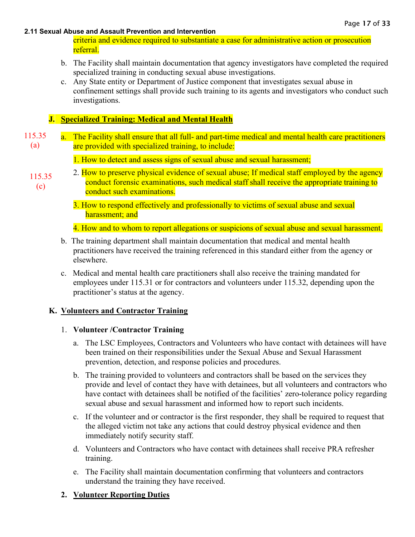criteria and evidence required to substantiate a case for administrative action or prosecution referral.

- b. The Facility shall maintain documentation that agency investigators have completed the required specialized training in conducting sexual abuse investigations.
- c. Any State entity or Department of Justice component that investigates sexual abuse in confinement settings shall provide such training to its agents and investigators who conduct such investigations.

## **J. Specialized Training: Medical and Mental Health**

- a. The Facility shall ensure that all full- and part-time medical and mental health care practitioners are provided with specialized training, to include: 115.35 (a)
	- 1. How to detect and assess signs of sexual abuse and sexual harassment;
	- 2. How to preserve physical evidence of sexual abuse; If medical staff employed by the agency conduct forensic examinations, such medical staff shall receive the appropriate training to conduct such examinations. 115.35 (c)
		- 3. How to respond effectively and professionally to victims of sexual abuse and sexual harassment; and

4. How and to whom to report allegations or suspicions of sexual abuse and sexual harassment.

- b. The training department shall maintain documentation that medical and mental health practitioners have received the training referenced in this standard either from the agency or elsewhere.
- c. Medical and mental health care practitioners shall also receive the training mandated for employees under 115.31 or for contractors and volunteers under 115.32, depending upon the practitioner's status at the agency.

### **K. Volunteers and Contractor Training**

### 1. **Volunteer /Contractor Training**

- a. The LSC Employees, Contractors and Volunteers who have contact with detainees will have been trained on their responsibilities under the Sexual Abuse and Sexual Harassment prevention, detection, and response policies and procedures.
- b. The training provided to volunteers and contractors shall be based on the services they provide and level of contact they have with detainees, but all volunteers and contractors who have contact with detainees shall be notified of the facilities' zero-tolerance policy regarding sexual abuse and sexual harassment and informed how to report such incidents.
- c. If the volunteer and or contractor is the first responder, they shall be required to request that the alleged victim not take any actions that could destroy physical evidence and then immediately notify security staff.
- d. Volunteers and Contractors who have contact with detainees shall receive PRA refresher training.
- e. The Facility shall maintain documentation confirming that volunteers and contractors understand the training they have received.

# **2. Volunteer Reporting Duties**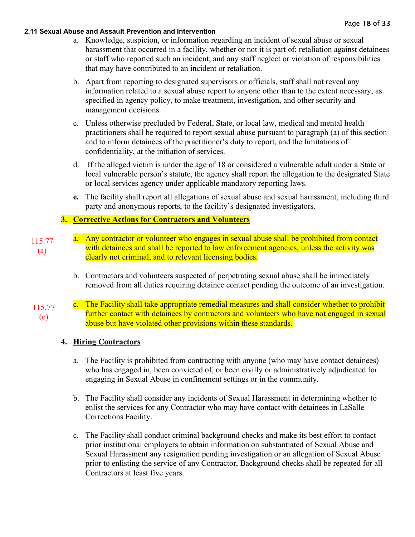- a. Knowledge, suspicion, or information regarding an incident of sexual abuse or sexual harassment that occurred in a facility, whether or not it is part of; retaliation against detainees or staff who reported such an incident; and any staff neglect or violation of responsibilities that may have contributed to an incident or retaliation.
- b. Apart from reporting to designated supervisors or officials, staff shall not reveal any information related to a sexual abuse report to anyone other than to the extent necessary, as specified in agency policy, to make treatment, investigation, and other security and management decisions.
- c. Unless otherwise precluded by Federal, State, or local law, medical and mental health practitioners shall be required to report sexual abuse pursuant to paragraph (a) of this section and to inform detainees of the practitioner's duty to report, and the limitations of confidentiality, at the initiation of services.
- d. If the alleged victim is under the age of 18 or considered a vulnerable adult under a State or local vulnerable person's statute, the agency shall report the allegation to the designated State or local services agency under applicable mandatory reporting laws.
- **e.** The facility shall report all allegations of sexual abuse and sexual harassment, including third party and anonymous reports, to the facility's designated investigators.

## **3. Corrective Actions for Contractors and Volunteers**

- a. Any contractor or volunteer who engages in sexual abuse shall be prohibited from contact with detainees and shall be reported to law enforcement agencies, unless the activity was clearly not criminal, and to relevant licensing bodies. 115.77 (a)
	- b. Contractors and volunteers suspected of perpetrating sexual abuse shall be immediately removed from all duties requiring detainee contact pending the outcome of an investigation.
- c. The Facility shall take appropriate remedial measures and shall consider whether to prohibit further contact with detainees by contractors and volunteers who have not engaged in sexual abuse but have violated other provisions within these standards. 115.77 (c)

### **4. Hiring Contractors**

- a. The Facility is prohibited from contracting with anyone (who may have contact detainees) who has engaged in, been convicted of, or been civilly or administratively adjudicated for engaging in Sexual Abuse in confinement settings or in the community.
- b. The Facility shall consider any incidents of Sexual Harassment in determining whether to enlist the services for any Contractor who may have contact with detainees in LaSalle Corrections Facility.
- c. The Facility shall conduct criminal background checks and make its best effort to contact prior institutional employers to obtain information on substantiated of Sexual Abuse and Sexual Harassment any resignation pending investigation or an allegation of Sexual Abuse prior to enlisting the service of any Contractor, Background checks shall be repeated for all Contractors at least five years.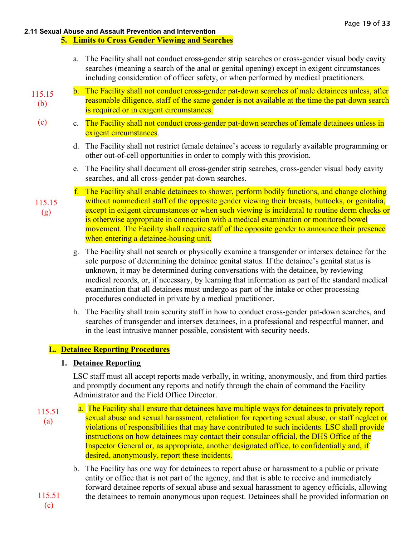#### **5. Limits to Cross Gender Viewing and Searches**

- a. The Facility shall not conduct cross-gender strip searches or cross-gender visual body cavity searches (meaning a search of the anal or genital opening) except in exigent circumstances including consideration of officer safety, or when performed by medical practitioners.
- b. The Facility shall not conduct cross-gender pat-down searches of male detainees unless, after reasonable diligence, staff of the same gender is not available at the time the pat-down search is required or in exigent circumstances. 115.15 (b)
	- c. The Facility shall not conduct cross-gender pat-down searches of female detainees unless in exigent circumstances.
		- d. The Facility shall not restrict female detainee's access to regularly available programming or other out-of-cell opportunities in order to comply with this provision.
		- e. The Facility shall document all cross-gender strip searches, cross-gender visual body cavity searches, and all cross-gender pat-down searches.
- f. The Facility shall enable detainees to shower, perform bodily functions, and change clothing without nonmedical staff of the opposite gender viewing their breasts, buttocks, or genitalia, except in exigent circumstances or when such viewing is incidental to routine dorm checks or is otherwise appropriate in connection with a medical examination or monitored bowel movement. The Facility shall require staff of the opposite gender to announce their presence when entering a detainee-housing unit. 115.15
	- g. The Facility shall not search or physically examine a transgender or intersex detainee for the sole purpose of determining the detainee genital status. If the detainee's genital status is unknown, it may be determined during conversations with the detainee, by reviewing medical records, or, if necessary, by learning that information as part of the standard medical examination that all detainees must undergo as part of the intake or other processing procedures conducted in private by a medical practitioner.
	- h. The Facility shall train security staff in how to conduct cross-gender pat-down searches, and searches of transgender and intersex detainees, in a professional and respectful manner, and in the least intrusive manner possible, consistent with security needs.

# **L. Detainee Reporting Procedures**

### **1. Detainee Reporting**

LSC staff must all accept reports made verbally, in writing, anonymously, and from third parties and promptly document any reports and notify through the chain of command the Facility Administrator and the Field Office Director.

- a. The Facility shall ensure that detainees have multiple ways for detainees to privately report sexual abuse and sexual harassment, retaliation for reporting sexual abuse, or staff neglect or violations of responsibilities that may have contributed to such incidents. LSC shall provide instructions on how detainees may contact their consular official, the DHS Office of the Inspector General or, as appropriate, another designated office, to confidentially and, if desired, anonymously, report these incidents. 115.51 (a)
	- b. The Facility has one way for detainees to report abuse or harassment to a public or private entity or office that is not part of the agency, and that is able to receive and immediately forward detainee reports of sexual abuse and sexual harassment to agency officials, allowing the detainees to remain anonymous upon request. Detainees shall be provided information on

115.51 (c)

(c)

(g)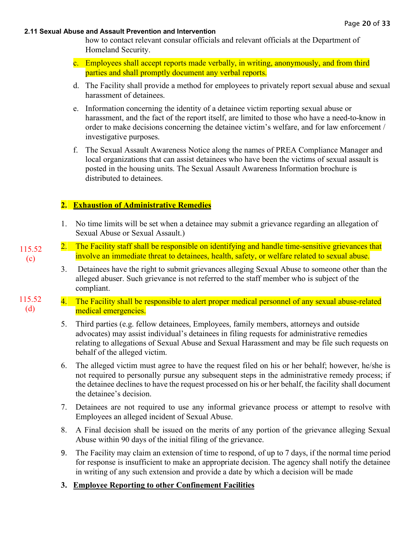how to contact relevant consular officials and relevant officials at the Department of Homeland Security.

- c. Employees shall accept reports made verbally, in writing, anonymously, and from third parties and shall promptly document any verbal reports.
- d. The Facility shall provide a method for employees to privately report sexual abuse and sexual harassment of detainees.
- e. Information concerning the identity of a detainee victim reporting sexual abuse or harassment, and the fact of the report itself, are limited to those who have a need-to-know in order to make decisions concerning the detainee victim's welfare, and for law enforcement / investigative purposes.
- f. The Sexual Assault Awareness Notice along the names of PREA Compliance Manager and local organizations that can assist detainees who have been the victims of sexual assault is posted in the housing units. The Sexual Assault Awareness Information brochure is distributed to detainees.

## **2. Exhaustion of Administrative Remedies**

115.52 (c)

- 1. No time limits will be set when a detainee may submit a grievance regarding an allegation of Sexual Abuse or Sexual Assault.)
- 2. The Facility staff shall be responsible on identifying and handle time-sensitive grievances that involve an immediate threat to detainees, health, safety, or welfare related to sexual abuse.
	- 3. Detainees have the right to submit grievances alleging Sexual Abuse to someone other than the alleged abuser. Such grievance is not referred to the staff member who is subject of the compliant.
- 4. The Facility shall be responsible to alert proper medical personnel of any sexual abuse-related medical emergencies. 115.52 (d)
	- 5. Third parties (e.g. fellow detainees, Employees, family members, attorneys and outside advocates) may assist individual's detainees in filing requests for administrative remedies relating to allegations of Sexual Abuse and Sexual Harassment and may be file such requests on behalf of the alleged victim.
	- 6. The alleged victim must agree to have the request filed on his or her behalf; however, he/she is not required to personally pursue any subsequent steps in the administrative remedy process; if the detainee declines to have the request processed on his or her behalf, the facility shall document the detainee's decision.
	- 7. Detainees are not required to use any informal grievance process or attempt to resolve with Employees an alleged incident of Sexual Abuse.
	- 8. A Final decision shall be issued on the merits of any portion of the grievance alleging Sexual Abuse within 90 days of the initial filing of the grievance.
	- 9. The Facility may claim an extension of time to respond, of up to 7 days, if the normal time period for response is insufficient to make an appropriate decision. The agency shall notify the detainee in writing of any such extension and provide a date by which a decision will be made
	- **3. Employee Reporting to other Confinement Facilities**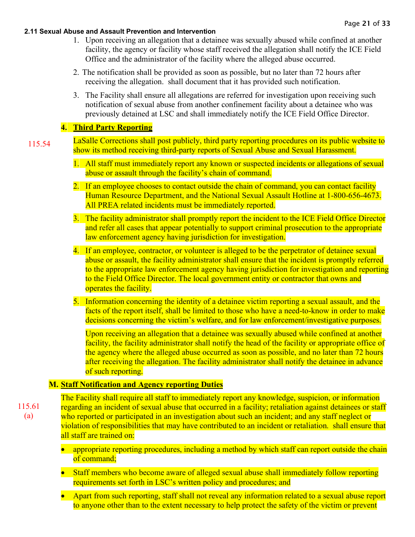- 1. Upon receiving an allegation that a detainee was sexually abused while confined at another facility, the agency or facility whose staff received the allegation shall notify the ICE Field Office and the administrator of the facility where the alleged abuse occurred.
- 2. The notification shall be provided as soon as possible, but no later than 72 hours after receiving the allegation. shall document that it has provided such notification.
- 3. The Facility shall ensure all allegations are referred for investigation upon receiving such notification of sexual abuse from another confinement facility about a detainee who was previously detained at LSC and shall immediately notify the ICE Field Office Director.

# **4. Third Party Reporting**

- LaSalle Corrections shall post publicly, third party reporting procedures on its public website to show its method receiving third-party reports of Sexual Abuse and Sexual Harassment. 115.54
	- 1. All staff must immediately report any known or suspected incidents or allegations of sexual abuse or assault through the facility's chain of command.
	- 2. If an employee chooses to contact outside the chain of command, you can contact facility Human Resource Department, and the National Sexual Assault Hotline at 1-800-656-4673. All PREA related incidents must be immediately reported.
	- 3. The facility administrator shall promptly report the incident to the ICE Field Office Director and refer all cases that appear potentially to support criminal prosecution to the appropriate law enforcement agency having jurisdiction for investigation.
	- 4. If an employee, contractor, or volunteer is alleged to be the perpetrator of detainee sexual abuse or assault, the facility administrator shall ensure that the incident is promptly referred to the appropriate law enforcement agency having jurisdiction for investigation and reporting to the Field Office Director. The local government entity or contractor that owns and operates the facility.
	- 5. Information concerning the identity of a detainee victim reporting a sexual assault, and the facts of the report itself, shall be limited to those who have a need-to-know in order to make decisions concerning the victim's welfare, and for law enforcement/investigative purposes.

Upon receiving an allegation that a detainee was sexually abused while confined at another facility, the facility administrator shall notify the head of the facility or appropriate office of the agency where the alleged abuse occurred as soon as possible, and no later than 72 hours after receiving the allegation. The facility administrator shall notify the detainee in advance of such reporting.

# **M. Staff Notification and Agency reporting Duties**

115.61 (a)

The Facility shall require all staff to immediately report any knowledge, suspicion, or information regarding an incident of sexual abuse that occurred in a facility; retaliation against detainees or staff who reported or participated in an investigation about such an incident; and any staff neglect or violation of responsibilities that may have contributed to an incident or retaliation. shall ensure that all staff are trained on:

- appropriate reporting procedures, including a method by which staff can report outside the chain of command;
- Staff members who become aware of alleged sexual abuse shall immediately follow reporting requirements set forth in LSC's written policy and procedures; and
- Apart from such reporting, staff shall not reveal any information related to a sexual abuse report to anyone other than to the extent necessary to help protect the safety of the victim or prevent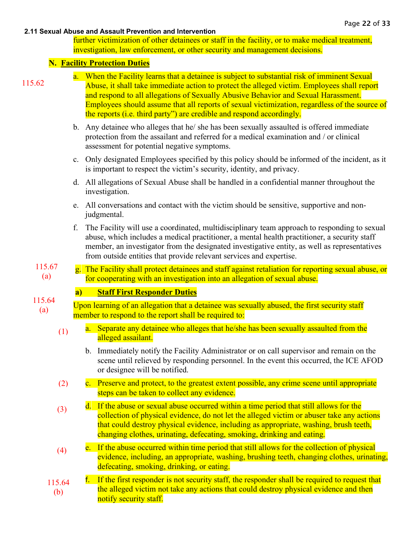further victimization of other detainees or staff in the facility, or to make medical treatment, investigation, law enforcement, or other security and management decisions.

### **N. Facility Protection Duties**

|        | a. When the Facility learns that a detainee is subject to substantial risk of imminent Sexual |
|--------|-----------------------------------------------------------------------------------------------|
| 115.62 | Abuse, it shall take immediate action to protect the alleged victim. Employees shall report   |
|        | and respond to all allegations of Sexually Abusive Behavior and Sexual Harassment.            |
|        | Employees should assume that all reports of sexual victimization, regardless of the source of |
|        | the reports (i.e. third party") are credible and respond accordingly.                         |
|        | b. Any detainee who alleges that he/ she has been sexually assaulted is offered immediate     |

- protection from the assailant and referred for a medical examination and / or clinical assessment for potential negative symptoms.
- c. Only designated Employees specified by this policy should be informed of the incident, as it is important to respect the victim's security, identity, and privacy.
- d. All allegations of Sexual Abuse shall be handled in a confidential manner throughout the investigation.
- e. All conversations and contact with the victim should be sensitive, supportive and nonjudgmental.
- f. The Facility will use a coordinated, multidisciplinary team approach to responding to sexual abuse, which includes a medical practitioner, a mental health practitioner, a security staff member, an investigator from the designated investigative entity, as well as representatives from outside entities that provide relevant services and expertise.
- g. The Facility shall protect detainees and staff against retaliation for reporting sexual abuse, or for cooperating with an investigation into an allegation of sexual abuse. 115.67 (a)

# **a) Staff First Responder Duties**

- Upon learning of an allegation that a detainee was sexually abused, the first security staff member to respond to the report shall be required to: 115.64 (a)
	- a. Separate any detainee who alleges that he/she has been sexually assaulted from the alleged assailant. (1)
		- b. Immediately notify the Facility Administrator or on call supervisor and remain on the scene until relieved by responding personnel. In the event this occurred, the ICE AFOD or designee will be notified.
	- c. Preserve and protect, to the greatest extent possible, any crime scene until appropriate steps can be taken to collect any evidence. (2)
	- d. If the abuse or sexual abuse occurred within a time period that still allows for the collection of physical evidence, do not let the alleged victim or abuser take any actions that could destroy physical evidence, including as appropriate, washing, brush teeth, changing clothes, urinating, defecating, smoking, drinking and eating. (3)
	- e. If the abuse occurred within time period that still allows for the collection of physical evidence, including, an appropriate, washing, brushing teeth, changing clothes, urinating, defecating, smoking, drinking, or eating. (4)
	- f. If the first responder is not security staff, the responder shall be required to request that the alleged victim not take any actions that could destroy physical evidence and then notify security staff. 115.64 (b)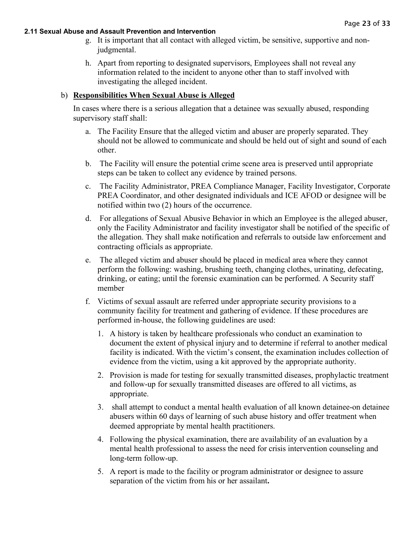- g. It is important that all contact with alleged victim, be sensitive, supportive and nonjudgmental.
- h. Apart from reporting to designated supervisors, Employees shall not reveal any information related to the incident to anyone other than to staff involved with investigating the alleged incident.

### b) **Responsibilities When Sexual Abuse is Alleged**

In cases where there is a serious allegation that a detainee was sexually abused, responding supervisory staff shall:

- a. The Facility Ensure that the alleged victim and abuser are properly separated. They should not be allowed to communicate and should be held out of sight and sound of each other.
- b. The Facility will ensure the potential crime scene area is preserved until appropriate steps can be taken to collect any evidence by trained persons.
- c. The Facility Administrator, PREA Compliance Manager, Facility Investigator, Corporate PREA Coordinator, and other designated individuals and ICE AFOD or designee will be notified within two (2) hours of the occurrence.
- d. For allegations of Sexual Abusive Behavior in which an Employee is the alleged abuser, only the Facility Administrator and facility investigator shall be notified of the specific of the allegation. They shall make notification and referrals to outside law enforcement and contracting officials as appropriate.
- e. The alleged victim and abuser should be placed in medical area where they cannot perform the following: washing, brushing teeth, changing clothes, urinating, defecating, drinking, or eating; until the forensic examination can be performed. A Security staff member
- f. Victims of sexual assault are referred under appropriate security provisions to a community facility for treatment and gathering of evidence. If these procedures are performed in-house, the following guidelines are used:
	- 1. A history is taken by healthcare professionals who conduct an examination to document the extent of physical injury and to determine if referral to another medical facility is indicated. With the victim's consent, the examination includes collection of evidence from the victim, using a kit approved by the appropriate authority.
	- 2. Provision is made for testing for sexually transmitted diseases, prophylactic treatment and follow-up for sexually transmitted diseases are offered to all victims, as appropriate.
	- 3. shall attempt to conduct a mental health evaluation of all known detainee-on detainee abusers within 60 days of learning of such abuse history and offer treatment when deemed appropriate by mental health practitioners.
	- 4. Following the physical examination, there are availability of an evaluation by a mental health professional to assess the need for crisis intervention counseling and long-term follow-up.
	- 5. A report is made to the facility or program administrator or designee to assure separation of the victim from his or her assailant**.**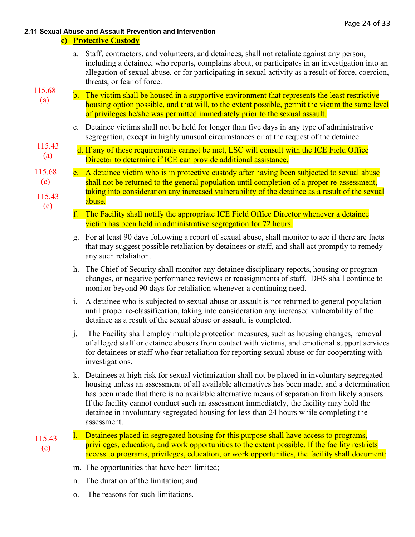### **c) Protective Custody**

a. Staff, contractors, and volunteers, and detainees, shall not retaliate against any person, including a detainee, who reports, complains about, or participates in an investigation into an allegation of sexual abuse, or for participating in sexual activity as a result of force, coercion, threats, or fear of force.

# 115.68

- b. The victim shall be housed in a supportive environment that represents the least restrictive housing option possible, and that will, to the extent possible, permit the victim the same level of privileges he/she was permitted immediately prior to the sexual assault. (a)
	- c. Detainee victims shall not be held for longer than five days in any type of administrative segregation, except in highly unusual circumstances or at the request of the detainee.
- d. If any of these requirements cannot be met, LSC will consult with the ICE Field Office Director to determine if ICE can provide additional assistance. 115.43 (a)

#### e. A detainee victim who is in protective custody after having been subjected to sexual abuse shall not be returned to the general population until completion of a proper re-assessment, taking into consideration any increased vulnerability of the detainee as a result of the sexual abuse. 115.43 (e) 115.68 (c)

- f. The Facility shall notify the appropriate ICE Field Office Director whenever a detainee victim has been held in administrative segregation for 72 hours.
- g. For at least 90 days following a report of sexual abuse, shall monitor to see if there are facts that may suggest possible retaliation by detainees or staff, and shall act promptly to remedy any such retaliation.
- h. The Chief of Security shall monitor any detainee disciplinary reports, housing or program changes, or negative performance reviews or reassignments of staff. DHS shall continue to monitor beyond 90 days for retaliation whenever a continuing need.
- i. A detainee who is subjected to sexual abuse or assault is not returned to general population until proper re-classification, taking into consideration any increased vulnerability of the detainee as a result of the sexual abuse or assault, is completed.
- j. The Facility shall employ multiple protection measures, such as housing changes, removal of alleged staff or detainee abusers from contact with victims, and emotional support services for detainees or staff who fear retaliation for reporting sexual abuse or for cooperating with investigations.
- k. Detainees at high risk for sexual victimization shall not be placed in involuntary segregated housing unless an assessment of all available alternatives has been made, and a determination has been made that there is no available alternative means of separation from likely abusers. If the facility cannot conduct such an assessment immediately, the facility may hold the detainee in involuntary segregated housing for less than 24 hours while completing the assessment.
- l. Detainees placed in segregated housing for this purpose shall have access to programs, privileges, education, and work opportunities to the extent possible. If the facility restricts access to programs, privileges, education, or work opportunities, the facility shall document: 115.43 (c)
	- m. The opportunities that have been limited;
	- n. The duration of the limitation; and
	- o. The reasons for such limitations.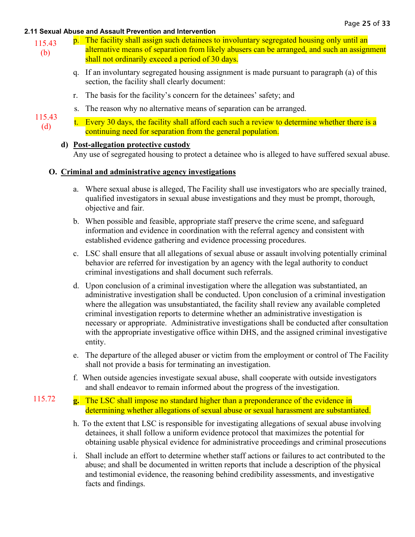- p. The facility shall assign such detainees to involuntary segregated housing only until an alternative means of separation from likely abusers can be arranged, and such an assignment shall not ordinarily exceed a period of 30 days. 115.43 (b)
	- q. If an involuntary segregated housing assignment is made pursuant to paragraph (a) of this section, the facility shall clearly document:
	- r. The basis for the facility's concern for the detainees' safety; and
	- s. The reason why no alternative means of separation can be arranged.
- t. Every 30 days, the facility shall afford each such a review to determine whether there is a continuing need for separation from the general population. 115.43 (d)

### **d) [Post-allegation protective custody](https://www.prearesourcecenter.org/ec-item/1205/11568-post-allegation-protective-custody)**

115.72

Any use of segregated housing to protect a detainee who is alleged to have suffered sexual abuse.

## **O. Criminal and administrative agency investigations**

- a. Where sexual abuse is alleged, The Facility shall use investigators who are specially trained, qualified investigators in sexual abuse investigations and they must be prompt, thorough, objective and fair.
- b. When possible and feasible, appropriate staff preserve the crime scene, and safeguard information and evidence in coordination with the referral agency and consistent with established evidence gathering and evidence processing procedures.
- c. LSC shall ensure that all allegations of sexual abuse or assault involving potentially criminal behavior are referred for investigation by an agency with the legal authority to conduct criminal investigations and shall document such referrals.
- d. Upon conclusion of a criminal investigation where the allegation was substantiated, an administrative investigation shall be conducted. Upon conclusion of a criminal investigation where the allegation was unsubstantiated, the facility shall review any available completed criminal investigation reports to determine whether an administrative investigation is necessary or appropriate. Administrative investigations shall be conducted after consultation with the appropriate investigative office within DHS, and the assigned criminal investigative entity.
- e. The departure of the alleged abuser or victim from the employment or control of The Facility shall not provide a basis for terminating an investigation.
- f. When outside agencies investigate sexual abuse, shall cooperate with outside investigators and shall endeavor to remain informed about the progress of the investigation.
- **g.** The LSC shall impose no standard higher than a preponderance of the evidence in determining whether allegations of sexual abuse or sexual harassment are substantiated.
	- h. To the extent that LSC is responsible for investigating allegations of sexual abuse involving detainees, it shall follow a uniform evidence protocol that maximizes the potential for obtaining usable physical evidence for administrative proceedings and criminal prosecutions
	- i. Shall include an effort to determine whether staff actions or failures to act contributed to the abuse; and shall be documented in written reports that include a description of the physical and testimonial evidence, the reasoning behind credibility assessments, and investigative facts and findings.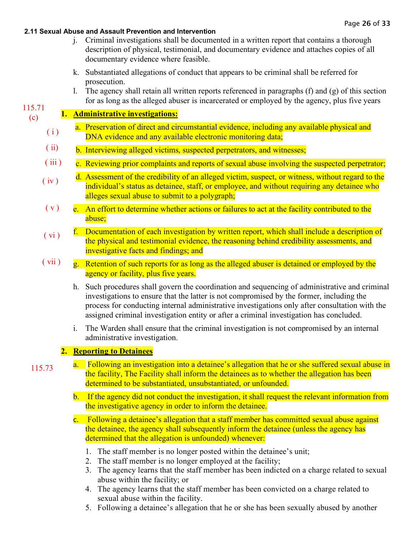- j. Criminal investigations shall be documented in a written report that contains a thorough description of physical, testimonial, and documentary evidence and attaches copies of all documentary evidence where feasible.
- k. Substantiated allegations of conduct that appears to be criminal shall be referred for prosecution.
- l. The agency shall retain all written reports referenced in paragraphs (f) and (g) of this section for as long as the alleged abuser is incarcerated or employed by the agency, plus five years

#### **1. Administrative investigations:** 115.71 (c)

- a. Preservation of direct and circumstantial evidence, including any available physical and DNA evidence and any available electronic monitoring data;  $(i)$
- b. Interviewing alleged victims, suspected perpetrators, and witnesses; ( ii)
- c. Reviewing prior complaints and reports of sexual abuse involving the suspected perpetrator;  $(iii)$
- d. Assessment of the credibility of an alleged victim, suspect, or witness, without regard to the individual's status as detainee, staff, or employee, and without requiring any detainee who alleges sexual abuse to submit to a polygraph;  $(iv)$
- e. An effort to determine whether actions or failures to act at the facility contributed to the abuse;  $(v)$
- f. Documentation of each investigation by written report, which shall include a description of the physical and testimonial evidence, the reasoning behind credibility assessments, and investigative facts and findings; and  $(vi)$
- g. Retention of such reports for as long as the alleged abuser is detained or employed by the agency or facility, plus five years.  $(vii)$ 
	- h. Such procedures shall govern the coordination and sequencing of administrative and criminal investigations to ensure that the latter is not compromised by the former, including the process for conducting internal administrative investigations only after consultation with the assigned criminal investigation entity or after a criminal investigation has concluded.
	- i. The Warden shall ensure that the criminal investigation is not compromised by an internal administrative investigation.

# **2. Reporting to Detainees**

- a. Following an investigation into a detainee's allegation that he or she suffered sexual abuse in the facility, The Facility shall inform the detainees as to whether the allegation has been determined to be substantiated, unsubstantiated, or unfounded. 115.73
	- b. If the agency did not conduct the investigation, it shall request the relevant information from the investigative agency in order to inform the detainee.
	- c. Following a detainee's allegation that a staff member has committed sexual abuse against the detainee, the agency shall subsequently inform the detainee (unless the agency has determined that the allegation is unfounded) whenever:
		- 1. The staff member is no longer posted within the detainee's unit;
		- 2. The staff member is no longer employed at the facility;
		- 3. The agency learns that the staff member has been indicted on a charge related to sexual abuse within the facility; or
		- 4. The agency learns that the staff member has been convicted on a charge related to sexual abuse within the facility.
		- 5. Following a detainee's allegation that he or she has been sexually abused by another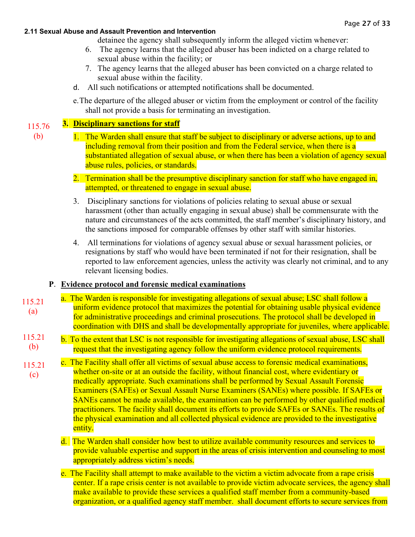detainee the agency shall subsequently inform the alleged victim whenever:

- 6. The agency learns that the alleged abuser has been indicted on a charge related to sexual abuse within the facility; or
- 7. The agency learns that the alleged abuser has been convicted on a charge related to sexual abuse within the facility.
- d. All such notifications or attempted notifications shall be documented.
- e.The departure of the alleged abuser or victim from the employment or control of the facility shall not provide a basis for terminating an investigation.

#### **3. Disciplinary sanctions for staff** 115.76

- (b)
- 1. The Warden shall ensure that staff be subject to disciplinary or adverse actions, up to and including removal from their position and from the Federal service, when there is a substantiated allegation of sexual abuse, or when there has been a violation of agency sexual abuse rules, policies, or standards.
- 2. Termination shall be the presumptive disciplinary sanction for staff who have engaged in, attempted, or threatened to engage in sexual abuse.
- 3. Disciplinary sanctions for violations of policies relating to sexual abuse or sexual harassment (other than actually engaging in sexual abuse) shall be commensurate with the nature and circumstances of the acts committed, the staff member's disciplinary history, and the sanctions imposed for comparable offenses by other staff with similar histories.
- 4. All terminations for violations of agency sexual abuse or sexual harassment policies, or resignations by staff who would have been terminated if not for their resignation, shall be reported to law enforcement agencies, unless the activity was clearly not criminal, and to any relevant licensing bodies.

# **P**. **[Evidence protocol and forensic medical examinations](https://www.prearesourcecenter.org/ec-item/1180/11521-evidence-protocol-and-forensic-medical-examinations)**

- a. The Warden is responsible for investigating allegations of sexual abuse; LSC shall follow a uniform evidence protocol that maximizes the potential for obtaining usable physical evidence for administrative proceedings and criminal prosecutions. The protocol shall be developed in coordination with DHS and shall be developmentally appropriate for juveniles, where applicable. 115.21 (a)
- b. To the extent that LSC is not responsible for investigating allegations of sexual abuse, LSC shall request that the investigating agency follow the uniform evidence protocol requirements. 115.21 (b)
- c. The Facility shall offer all victims of sexual abuse access to forensic medical examinations, whether on-site or at an outside the facility, without financial cost, where evidentiary or medically appropriate. Such examinations shall be performed by Sexual Assault Forensic Examiners (SAFEs) or Sexual Assault Nurse Examiners (SANEs) where possible. If SAFEs or SANEs cannot be made available, the examination can be performed by other qualified medical practitioners. The facility shall document its efforts to provide SAFEs or SANEs. The results of the physical examination and all collected physical evidence are provided to the investigative entity. 115.21 (c)
	- d. The Warden shall consider how best to utilize available community resources and services to provide valuable expertise and support in the areas of crisis intervention and counseling to most appropriately address victim's needs.
	- e. The Facility shall attempt to make available to the victim a victim advocate from a rape crisis center. If a rape crisis center is not available to provide victim advocate services, the agency shall make available to provide these services a qualified staff member from a community-based organization, or a qualified agency staff member. shall document efforts to secure services from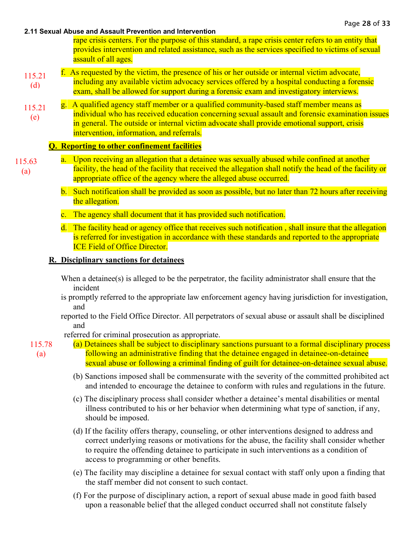rape crisis centers. For the purpose of this standard, a rape crisis center refers to an entity that provides intervention and related assistance, such as the services specified to victims of sexual assault of all ages.

- f. As requested by the victim, the presence of his or her outside or internal victim advocate, including any available victim advocacy services offered by a hospital conducting a forensic exam, shall be allowed for support during a forensic exam and investigatory interviews. 115.21 (d)
- g. A qualified agency staff member or a qualified community-based staff member means as individual who has received education concerning sexual assault and forensic examination issues in general. The outside or internal victim advocate shall provide emotional support, crisis intervention, information, and referrals. 115.21 (e)

# **Q. Reporting to other confinement facilities**

- a. Upon receiving an allegation that a detainee was sexually abused while confined at another facility, the head of the facility that received the allegation shall notify the head of the facility or appropriate office of the agency where the alleged abuse occurred. 115.63 (a)
	- b. Such notification shall be provided as soon as possible, but no later than 72 hours after receiving the allegation.
	- c. The agency shall document that it has provided such notification.
	- d. The facility head or agency office that receives such notification , shall insure that the allegation is referred for investigation in accordance with these standards and reported to the appropriate ICE Field of Office Director.

# **R. Disciplinary sanctions for detainees**

- When a detainee(s) is alleged to be the perpetrator, the facility administrator shall ensure that the incident
- is promptly referred to the appropriate law enforcement agency having jurisdiction for investigation, and
- reported to the Field Office Director. All perpetrators of sexual abuse or assault shall be disciplined and

referred for criminal prosecution as appropriate.

- 115.78 (a)
- (a) Detainees shall be subject to disciplinary sanctions pursuant to a formal disciplinary process following an administrative finding that the detainee engaged in detainee-on-detainee sexual abuse or following a criminal finding of guilt for detainee-on-detainee sexual abuse.
	- (b) Sanctions imposed shall be commensurate with the severity of the committed prohibited act and intended to encourage the detainee to conform with rules and regulations in the future.
	- (c) The disciplinary process shall consider whether a detainee's mental disabilities or mental illness contributed to his or her behavior when determining what type of sanction, if any, should be imposed.
	- (d) If the facility offers therapy, counseling, or other interventions designed to address and correct underlying reasons or motivations for the abuse, the facility shall consider whether to require the offending detainee to participate in such interventions as a condition of access to programming or other benefits.
	- (e) The facility may discipline a detainee for sexual contact with staff only upon a finding that the staff member did not consent to such contact.
	- (f) For the purpose of disciplinary action, a report of sexual abuse made in good faith based upon a reasonable belief that the alleged conduct occurred shall not constitute falsely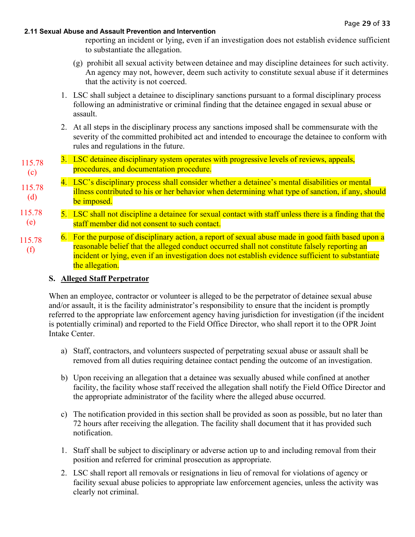reporting an incident or lying, even if an investigation does not establish evidence sufficient to substantiate the allegation.

- (g) prohibit all sexual activity between detainee and may discipline detainees for such activity. An agency may not, however, deem such activity to constitute sexual abuse if it determines that the activity is not coerced.
- 1. LSC shall subject a detainee to disciplinary sanctions pursuant to a formal disciplinary process following an administrative or criminal finding that the detainee engaged in sexual abuse or assault.
- 2. At all steps in the disciplinary process any sanctions imposed shall be commensurate with the severity of the committed prohibited act and intended to encourage the detainee to conform with rules and regulations in the future.
- 3. LSC detainee disciplinary system operates with progressive levels of reviews, appeals, procedures, and documentation procedure. 115.78 (c)
- 4. LSC's disciplinary process shall consider whether a detainee's mental disabilities or mental illness contributed to his or her behavior when determining what type of sanction, if any, should be imposed. 115.78 (d)
- 5. LSC shall not discipline a detainee for sexual contact with staff unless there is a finding that the staff member did not consent to such contact. 115.78 (e)
- 6. For the purpose of disciplinary action, a report of sexual abuse made in good faith based upon a reasonable belief that the alleged conduct occurred shall not constitute falsely reporting an incident or lying, even if an investigation does not establish evidence sufficient to substantiate the allegation. 115.78 (f)

# **S. Alleged Staff Perpetrator**

When an employee, contractor or volunteer is alleged to be the perpetrator of detainee sexual abuse and/or assault, it is the facility administrator's responsibility to ensure that the incident is promptly referred to the appropriate law enforcement agency having jurisdiction for investigation (if the incident is potentially criminal) and reported to the Field Office Director, who shall report it to the OPR Joint Intake Center.

- a) Staff, contractors, and volunteers suspected of perpetrating sexual abuse or assault shall be removed from all duties requiring detainee contact pending the outcome of an investigation.
- b) Upon receiving an allegation that a detainee was sexually abused while confined at another facility, the facility whose staff received the allegation shall notify the Field Office Director and the appropriate administrator of the facility where the alleged abuse occurred.
- c) The notification provided in this section shall be provided as soon as possible, but no later than 72 hours after receiving the allegation. The facility shall document that it has provided such notification.
- 1. Staff shall be subject to disciplinary or adverse action up to and including removal from their position and referred for criminal prosecution as appropriate.
- 2. LSC shall report all removals or resignations in lieu of removal for violations of agency or facility sexual abuse policies to appropriate law enforcement agencies, unless the activity was clearly not criminal.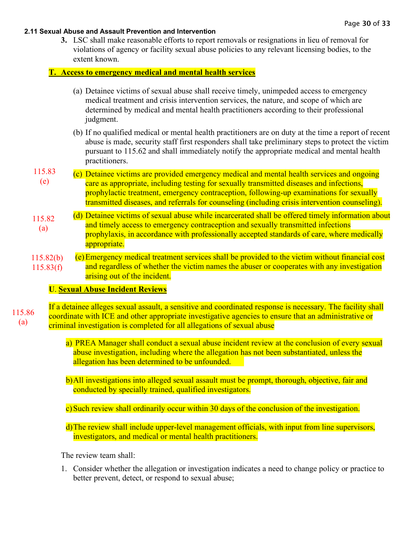**3.** LSC shall make reasonable efforts to report removals or resignations in lieu of removal for violations of agency or facility sexual abuse policies to any relevant licensing bodies, to the extent known.

### **T. Access to emergency medical and mental health services**

- (a) Detainee victims of sexual abuse shall receive timely, unimpeded access to emergency medical treatment and crisis intervention services, the nature, and scope of which are determined by medical and mental health practitioners according to their professional judgment.
- (b) If no qualified medical or mental health practitioners are on duty at the time a report of recent abuse is made, security staff first responders shall take preliminary steps to protect the victim pursuant to 115.62 and shall immediately notify the appropriate medical and mental health practitioners.
- (c) Detainee victims are provided emergency medical and mental health services and ongoing care as appropriate, including testing for sexually transmitted diseases and infections, prophylactic treatment, emergency contraception, following-up examinations for sexually transmitted diseases, and referrals for counseling (including crisis intervention counseling). 115.83 (e)
- (d) Detainee victims of sexual abuse while incarcerated shall be offered timely information about and timely access to emergency contraception and sexually transmitted infections prophylaxis, in accordance with professionally accepted standards of care, where medically appropriate. 115.82 (a)
- (e)Emergency medical treatment services shall be provided to the victim without financial cost and regardless of whether the victim names the abuser or cooperates with any investigation arising out of the incident. 115.82(b) 115.83(f)

### **U**. **[Sexual Abuse Incident Reviews](https://www.prearesourcecenter.org/ec-item/1219/11586-sexual-abuse-incident-reviews)**

If a detainee alleges sexual assault, a sensitive and coordinated response is necessary. The facility shall coordinate with ICE and other appropriate investigative agencies to ensure that an administrative or criminal investigation is completed for all allegations of sexual abuse 115.86 (a)

- a) PREA Manager shall conduct a sexual abuse incident review at the conclusion of every sexual abuse investigation, including where the allegation has not been substantiated, unless the allegation has been determined to be unfounded.
- b)All investigations into alleged sexual assault must be prompt, thorough, objective, fair and conducted by specially trained, qualified investigators.
- c)Such review shall ordinarily occur within 30 days of the conclusion of the investigation.
- d)The review shall include upper-level management officials, with input from line supervisors, investigators, and medical or mental health practitioners.

The review team shall:

1. Consider whether the allegation or investigation indicates a need to change policy or practice to better prevent, detect, or respond to sexual abuse;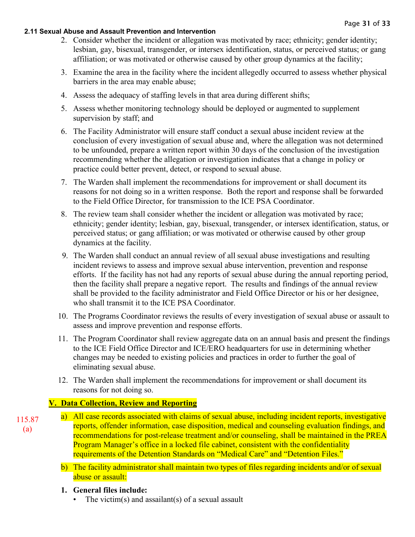- 2. Consider whether the incident or allegation was motivated by race; ethnicity; gender identity; lesbian, gay, bisexual, transgender, or intersex identification, status, or perceived status; or gang affiliation; or was motivated or otherwise caused by other group dynamics at the facility;
- 3. Examine the area in the facility where the incident allegedly occurred to assess whether physical barriers in the area may enable abuse;
- 4. Assess the adequacy of staffing levels in that area during different shifts;
- 5. Assess whether monitoring technology should be deployed or augmented to supplement supervision by staff; and
- 6. The Facility Administrator will ensure staff conduct a sexual abuse incident review at the conclusion of every investigation of sexual abuse and, where the allegation was not determined to be unfounded, prepare a written report within 30 days of the conclusion of the investigation recommending whether the allegation or investigation indicates that a change in policy or practice could better prevent, detect, or respond to sexual abuse.
- 7. The Warden shall implement the recommendations for improvement or shall document its reasons for not doing so in a written response. Both the report and response shall be forwarded to the Field Office Director, for transmission to the ICE PSA Coordinator.
- 8. The review team shall consider whether the incident or allegation was motivated by race; ethnicity; gender identity; lesbian, gay, bisexual, transgender, or intersex identification, status, or perceived status; or gang affiliation; or was motivated or otherwise caused by other group dynamics at the facility.
- 9. The Warden shall conduct an annual review of all sexual abuse investigations and resulting incident reviews to assess and improve sexual abuse intervention, prevention and response efforts. If the facility has not had any reports of sexual abuse during the annual reporting period, then the facility shall prepare a negative report. The results and findings of the annual review shall be provided to the facility administrator and Field Office Director or his or her designee, who shall transmit it to the ICE PSA Coordinator.
- 10. The Programs Coordinator reviews the results of every investigation of sexual abuse or assault to assess and improve prevention and response efforts.
- 11. The Program Coordinator shall review aggregate data on an annual basis and present the findings to the ICE Field Office Director and ICE/ERO headquarters for use in determining whether changes may be needed to existing policies and practices in order to further the goal of eliminating sexual abuse.
- 12. The Warden shall implement the recommendations for improvement or shall document its reasons for not doing so.

# **V. Data Collection, Review and Reporting**

- a) All case records associated with claims of sexual abuse, including incident reports, investigative reports, offender information, case disposition, medical and counseling evaluation findings, and recommendations for post-release treatment and/or counseling, shall be maintained in the PREA Program Manager's office in a locked file cabinet, consistent with the confidentiality requirements of the Detention Standards on "Medical Care" and "Detention Files." 115.87 (a)
	- b) The facility administrator shall maintain two types of files regarding incidents and/or of sexual abuse or assault:
	- **1. General files include:** 
		- The victim(s) and assailant(s) of a sexual assault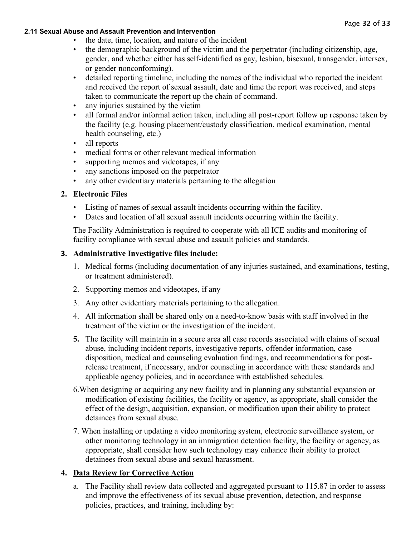- the date, time, location, and nature of the incident
- the demographic background of the victim and the perpetrator (including citizenship, age, gender, and whether either has self-identified as gay, lesbian, bisexual, transgender, intersex, or gender nonconforming).
- detailed reporting timeline, including the names of the individual who reported the incident and received the report of sexual assault, date and time the report was received, and steps taken to communicate the report up the chain of command.
- any injuries sustained by the victim
- all formal and/or informal action taken, including all post-report follow up response taken by the facility (e.g. housing placement/custody classification, medical examination, mental health counseling, etc.)
- all reports
- medical forms or other relevant medical information
- supporting memos and videotapes, if any
- any sanctions imposed on the perpetrator
- any other evidentiary materials pertaining to the allegation

### **2. Electronic Files**

- Listing of names of sexual assault incidents occurring within the facility.
- Dates and location of all sexual assault incidents occurring within the facility.

The Facility Administration is required to cooperate with all ICE audits and monitoring of facility compliance with sexual abuse and assault policies and standards.

### **3. Administrative Investigative files include:**

- 1. Medical forms (including documentation of any injuries sustained, and examinations, testing, or treatment administered).
- 2. Supporting memos and videotapes, if any
- 3. Any other evidentiary materials pertaining to the allegation.
- 4. All information shall be shared only on a need-to-know basis with staff involved in the treatment of the victim or the investigation of the incident.
- **5.** The facility will maintain in a secure area all case records associated with claims of sexual abuse, including incident reports, investigative reports, offender information, case disposition, medical and counseling evaluation findings, and recommendations for postrelease treatment, if necessary, and/or counseling in accordance with these standards and applicable agency policies, and in accordance with established schedules.
- 6.When designing or acquiring any new facility and in planning any substantial expansion or modification of existing facilities, the facility or agency, as appropriate, shall consider the effect of the design, acquisition, expansion, or modification upon their ability to protect detainees from sexual abuse.
- 7. When installing or updating a video monitoring system, electronic surveillance system, or other monitoring technology in an immigration detention facility, the facility or agency, as appropriate, shall consider how such technology may enhance their ability to protect detainees from sexual abuse and sexual harassment.

# **4. Data Review for Corrective Action**

a. The Facility shall review data collected and aggregated pursuant to 115.87 in order to assess and improve the effectiveness of its sexual abuse prevention, detection, and response policies, practices, and training, including by: